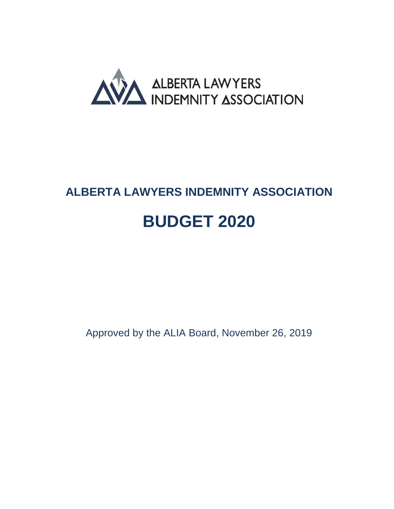

# <span id="page-0-1"></span><span id="page-0-0"></span>**ALBERTA LAWYERS INDEMNITY ASSOCIATION BUDGET 2020**

Approved by the ALIA Board, November 26, 2019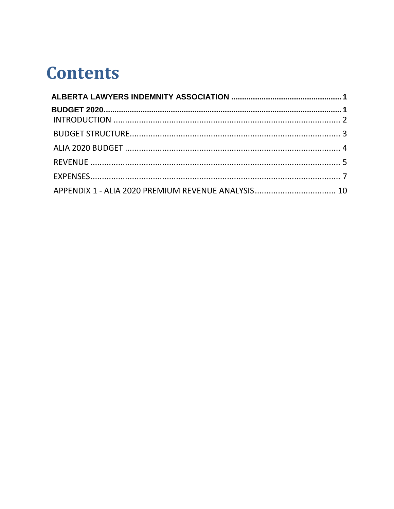# **Contents**

| APPENDIX 1 - ALIA 2020 PREMIUM REVENUE ANALYSIS 10 |  |
|----------------------------------------------------|--|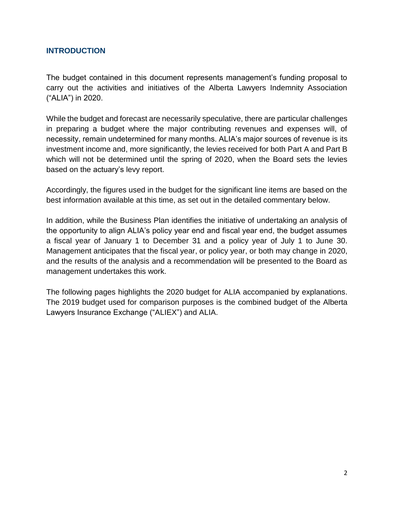# <span id="page-2-0"></span>**INTRODUCTION**

The budget contained in this document represents management's funding proposal to carry out the activities and initiatives of the Alberta Lawyers Indemnity Association ("ALIA") in 2020.

While the budget and forecast are necessarily speculative, there are particular challenges in preparing a budget where the major contributing revenues and expenses will, of necessity, remain undetermined for many months. ALIA's major sources of revenue is its investment income and, more significantly, the levies received for both Part A and Part B which will not be determined until the spring of 2020, when the Board sets the levies based on the actuary's levy report.

Accordingly, the figures used in the budget for the significant line items are based on the best information available at this time, as set out in the detailed commentary below.

In addition, while the Business Plan identifies the initiative of undertaking an analysis of the opportunity to align ALIA's policy year end and fiscal year end, the budget assumes a fiscal year of January 1 to December 31 and a policy year of July 1 to June 30. Management anticipates that the fiscal year, or policy year, or both may change in 2020, and the results of the analysis and a recommendation will be presented to the Board as management undertakes this work.

The following pages highlights the 2020 budget for ALIA accompanied by explanations. The 2019 budget used for comparison purposes is the combined budget of the Alberta Lawyers Insurance Exchange ("ALIEX") and ALIA.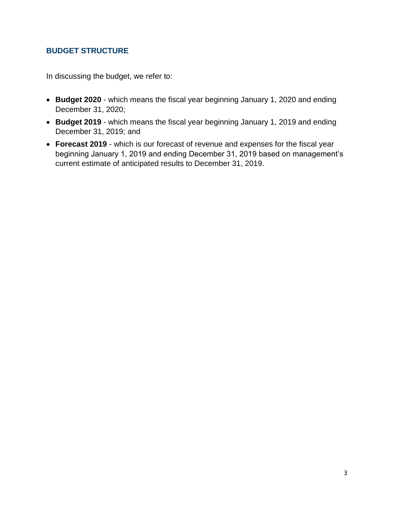# <span id="page-3-0"></span>**BUDGET STRUCTURE**

In discussing the budget, we refer to:

- **Budget 2020** which means the fiscal year beginning January 1, 2020 and ending December 31, 2020;
- **Budget 2019** which means the fiscal year beginning January 1, 2019 and ending December 31, 2019; and
- **Forecast 2019** which is our forecast of revenue and expenses for the fiscal year beginning January 1, 2019 and ending December 31, 2019 based on management's current estimate of anticipated results to December 31, 2019.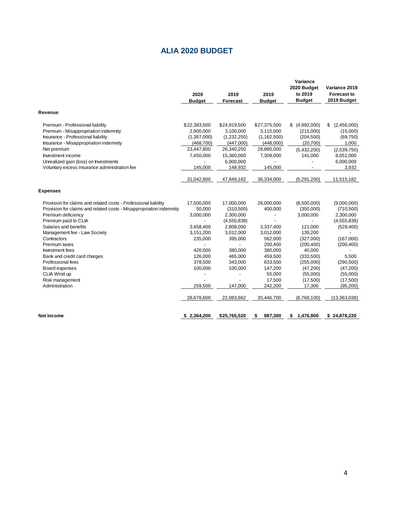# **ALIA 2020 BUDGET**

<span id="page-4-0"></span>

|                                                                                                                                                                                                                                                                                                                                                                                                                              | 2020<br><b>Budget</b>                                                                                                                       | 2019<br><b>Forecast</b>                                                                                                                                       | 2019<br><b>Budget</b>                                                                                                                                                | Variance<br>2020 Budget<br>to 2019<br><b>Budget</b>                                                                                                                                     | Variance 2019<br><b>Forecast to</b><br>2019 Budget                                                                                                                                        |
|------------------------------------------------------------------------------------------------------------------------------------------------------------------------------------------------------------------------------------------------------------------------------------------------------------------------------------------------------------------------------------------------------------------------------|---------------------------------------------------------------------------------------------------------------------------------------------|---------------------------------------------------------------------------------------------------------------------------------------------------------------|----------------------------------------------------------------------------------------------------------------------------------------------------------------------|-----------------------------------------------------------------------------------------------------------------------------------------------------------------------------------------|-------------------------------------------------------------------------------------------------------------------------------------------------------------------------------------------|
| Revenue                                                                                                                                                                                                                                                                                                                                                                                                                      |                                                                                                                                             |                                                                                                                                                               |                                                                                                                                                                      |                                                                                                                                                                                         |                                                                                                                                                                                           |
| Premium - Professional liability<br>Premium - Misappropriation indemnity<br>Insurance - Professional liability<br>Insurance - Misappropriation indemnity<br>Net premium<br>Investment income<br>Unrealized gain (loss) on Investments<br>Voluntary excess insurance administration fee                                                                                                                                       | \$22,383,500<br>2.900.000<br>(1,367,000)<br>(468,700)<br>23,447,800<br>7,450,000<br>145.000                                                 | \$24,919,500<br>3,100,000<br>(1,232,250)<br>(447,000)<br>26,340,250<br>15,360,000<br>6,000,000<br>148,932                                                     | \$27,375,500<br>3,115,000<br>(1, 162, 500)<br>(448,000)<br>28,880,000<br>7,309,000<br>145,000                                                                        | (4,992,000)<br>\$<br>(215,000)<br>(204, 500)<br>(20,700)<br>(5,432,200)<br>141,000                                                                                                      | (2,456,000)<br>\$<br>(15,000)<br>(69, 750)<br>1,000<br>(2,539,750)<br>8,051,000<br>6,000,000<br>3,932                                                                                     |
|                                                                                                                                                                                                                                                                                                                                                                                                                              | 31,042,800                                                                                                                                  | 47,849,182                                                                                                                                                    | 36,334,000                                                                                                                                                           | (5,291,200)                                                                                                                                                                             | 11,515,182                                                                                                                                                                                |
| <b>Expenses</b>                                                                                                                                                                                                                                                                                                                                                                                                              |                                                                                                                                             |                                                                                                                                                               |                                                                                                                                                                      |                                                                                                                                                                                         |                                                                                                                                                                                           |
| Provision for claims and related costs - Professional liability<br>Provision for claims and related costs - Misappropriation indemnity<br>Premium deficiency<br>Premium paid to CLIA<br>Salaries and benefits<br>Management fee - Law Society<br>Contractors<br>Premium taxes<br>Investment fees<br>Bank and credit card charges<br>Professional fees<br>Board expenses<br>CLIA Wind up<br>Risk management<br>Administration | 17,500,000<br>50,000<br>3,000,000<br>3,458,400<br>3,151,200<br>235,000<br>420.000<br>126,000<br>378,500<br>100,000<br>259,500<br>28,678,600 | 17,000,000<br>(310,500)<br>2,300,000<br>(4,555,838)<br>2,808,000<br>3,012,000<br>395,000<br>380,000<br>465,000<br>343,000<br>100,000<br>147,000<br>22,083,662 | 26,000,000<br>400,000<br>÷,<br>3,337,400<br>3,012,000<br>562,000<br>200,400<br>380,000<br>459,500<br>633,500<br>147,200<br>55,000<br>17,500<br>242,200<br>35,446,700 | (8,500,000)<br>(350,000)<br>3,000,000<br>121,000<br>139,200<br>(327,000)<br>(200, 400)<br>40,000<br>(333,500)<br>(255,000)<br>(47,200)<br>(55,000)<br>(17,500)<br>17,300<br>(6,768,100) | (9,000,000)<br>(710, 500)<br>2,300,000<br>(4, 555, 838)<br>(529, 400)<br>(167,000)<br>(200, 400)<br>5,500<br>(290, 500)<br>(47, 200)<br>(55,000)<br>(17,500)<br>(95, 200)<br>(13,363,038) |
| Net income                                                                                                                                                                                                                                                                                                                                                                                                                   | \$2,364,200                                                                                                                                 | \$25,765,520                                                                                                                                                  | 887,300<br>\$                                                                                                                                                        | \$<br>1,476,900                                                                                                                                                                         | \$24,878,220                                                                                                                                                                              |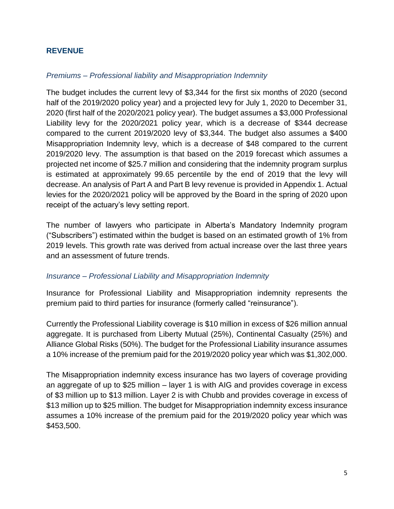# <span id="page-5-0"></span>**REVENUE**

## *Premiums – Professional liability and Misappropriation Indemnity*

The budget includes the current levy of \$3,344 for the first six months of 2020 (second half of the 2019/2020 policy year) and a projected levy for July 1, 2020 to December 31, 2020 (first half of the 2020/2021 policy year). The budget assumes a \$3,000 Professional Liability levy for the 2020/2021 policy year, which is a decrease of \$344 decrease compared to the current 2019/2020 levy of \$3,344. The budget also assumes a \$400 Misappropriation Indemnity levy, which is a decrease of \$48 compared to the current 2019/2020 levy. The assumption is that based on the 2019 forecast which assumes a projected net income of \$25.7 million and considering that the indemnity program surplus is estimated at approximately 99.65 percentile by the end of 2019 that the levy will decrease. An analysis of Part A and Part B levy revenue is provided in Appendix 1. Actual levies for the 2020/2021 policy will be approved by the Board in the spring of 2020 upon receipt of the actuary's levy setting report.

The number of lawyers who participate in Alberta's Mandatory Indemnity program ("Subscribers") estimated within the budget is based on an estimated growth of 1% from 2019 levels. This growth rate was derived from actual increase over the last three years and an assessment of future trends.

#### *Insurance – Professional Liability and Misappropriation Indemnity*

Insurance for Professional Liability and Misappropriation indemnity represents the premium paid to third parties for insurance (formerly called "reinsurance").

Currently the Professional Liability coverage is \$10 million in excess of \$26 million annual aggregate. It is purchased from Liberty Mutual (25%), Continental Casualty (25%) and Alliance Global Risks (50%). The budget for the Professional Liability insurance assumes a 10% increase of the premium paid for the 2019/2020 policy year which was \$1,302,000.

The Misappropriation indemnity excess insurance has two layers of coverage providing an aggregate of up to \$25 million – layer 1 is with AIG and provides coverage in excess of \$3 million up to \$13 million. Layer 2 is with Chubb and provides coverage in excess of \$13 million up to \$25 million. The budget for Misappropriation indemnity excess insurance assumes a 10% increase of the premium paid for the 2019/2020 policy year which was \$453,500.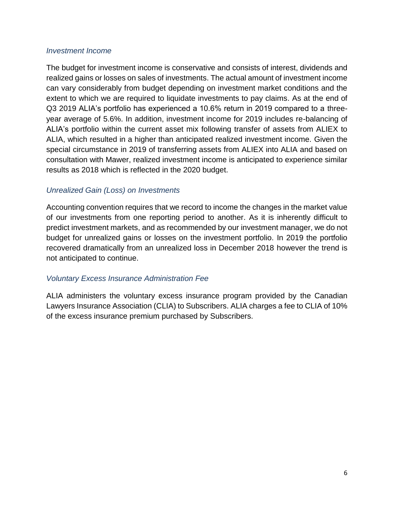# *Investment Income*

The budget for investment income is conservative and consists of interest, dividends and realized gains or losses on sales of investments. The actual amount of investment income can vary considerably from budget depending on investment market conditions and the extent to which we are required to liquidate investments to pay claims. As at the end of Q3 2019 ALIA's portfolio has experienced a 10.6% return in 2019 compared to a threeyear average of 5.6%. In addition, investment income for 2019 includes re-balancing of ALIA's portfolio within the current asset mix following transfer of assets from ALIEX to ALIA, which resulted in a higher than anticipated realized investment income. Given the special circumstance in 2019 of transferring assets from ALIEX into ALIA and based on consultation with Mawer, realized investment income is anticipated to experience similar results as 2018 which is reflected in the 2020 budget.

# *Unrealized Gain (Loss) on Investments*

Accounting convention requires that we record to income the changes in the market value of our investments from one reporting period to another. As it is inherently difficult to predict investment markets, and as recommended by our investment manager, we do not budget for unrealized gains or losses on the investment portfolio. In 2019 the portfolio recovered dramatically from an unrealized loss in December 2018 however the trend is not anticipated to continue.

# *Voluntary Excess Insurance Administration Fee*

ALIA administers the voluntary excess insurance program provided by the Canadian Lawyers Insurance Association (CLIA) to Subscribers. ALIA charges a fee to CLIA of 10% of the excess insurance premium purchased by Subscribers.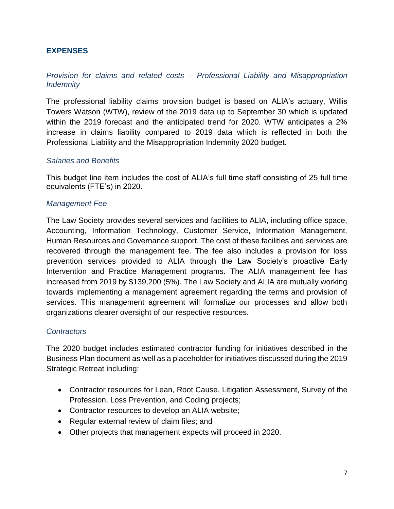# <span id="page-7-0"></span>**EXPENSES**

# *Provision for claims and related costs – Professional Liability and Misappropriation Indemnity*

The professional liability claims provision budget is based on ALIA's actuary, Willis Towers Watson (WTW), review of the 2019 data up to September 30 which is updated within the 2019 forecast and the anticipated trend for 2020. WTW anticipates a 2% increase in claims liability compared to 2019 data which is reflected in both the Professional Liability and the Misappropriation Indemnity 2020 budget.

#### *Salaries and Benefits*

This budget line item includes the cost of ALIA's full time staff consisting of 25 full time equivalents (FTE's) in 2020.

#### *Management Fee*

The Law Society provides several services and facilities to ALIA, including office space, Accounting, Information Technology, Customer Service, Information Management, Human Resources and Governance support. The cost of these facilities and services are recovered through the management fee. The fee also includes a provision for loss prevention services provided to ALIA through the Law Society's proactive Early Intervention and Practice Management programs. The ALIA management fee has increased from 2019 by \$139,200 (5%). The Law Society and ALIA are mutually working towards implementing a management agreement regarding the terms and provision of services. This management agreement will formalize our processes and allow both organizations clearer oversight of our respective resources.

#### *Contractors*

The 2020 budget includes estimated contractor funding for initiatives described in the Business Plan document as well as a placeholder for initiatives discussed during the 2019 Strategic Retreat including:

- Contractor resources for Lean, Root Cause, Litigation Assessment, Survey of the Profession, Loss Prevention, and Coding projects;
- Contractor resources to develop an ALIA website;
- Regular external review of claim files; and
- Other projects that management expects will proceed in 2020.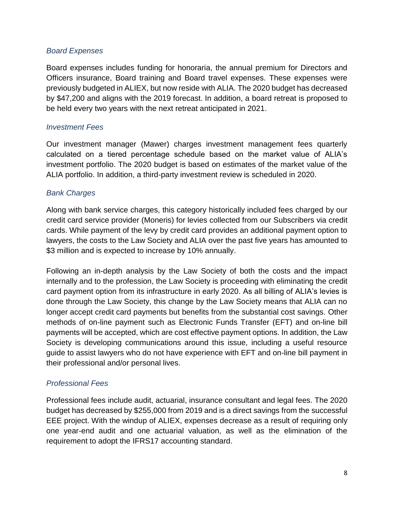# *Board Expenses*

Board expenses includes funding for honoraria, the annual premium for Directors and Officers insurance, Board training and Board travel expenses. These expenses were previously budgeted in ALIEX, but now reside with ALIA. The 2020 budget has decreased by \$47,200 and aligns with the 2019 forecast. In addition, a board retreat is proposed to be held every two years with the next retreat anticipated in 2021.

### *Investment Fees*

Our investment manager (Mawer) charges investment management fees quarterly calculated on a tiered percentage schedule based on the market value of ALIA's investment portfolio. The 2020 budget is based on estimates of the market value of the ALIA portfolio. In addition, a third-party investment review is scheduled in 2020.

# *Bank Charges*

Along with bank service charges, this category historically included fees charged by our credit card service provider (Moneris) for levies collected from our Subscribers via credit cards. While payment of the levy by credit card provides an additional payment option to lawyers, the costs to the Law Society and ALIA over the past five years has amounted to \$3 million and is expected to increase by 10% annually.

Following an in-depth analysis by the Law Society of both the costs and the impact internally and to the profession, the Law Society is proceeding with eliminating the credit card payment option from its infrastructure in early 2020. As all billing of ALIA's levies is done through the Law Society, this change by the Law Society means that ALIA can no longer accept credit card payments but benefits from the substantial cost savings. Other methods of on-line payment such as Electronic Funds Transfer (EFT) and on-line bill payments will be accepted, which are cost effective payment options. In addition, the Law Society is developing communications around this issue, including a useful resource guide to assist lawyers who do not have experience with EFT and on-line bill payment in their professional and/or personal lives.

# *Professional Fees*

Professional fees include audit, actuarial, insurance consultant and legal fees. The 2020 budget has decreased by \$255,000 from 2019 and is a direct savings from the successful EEE project. With the windup of ALIEX, expenses decrease as a result of requiring only one year-end audit and one actuarial valuation, as well as the elimination of the requirement to adopt the IFRS17 accounting standard.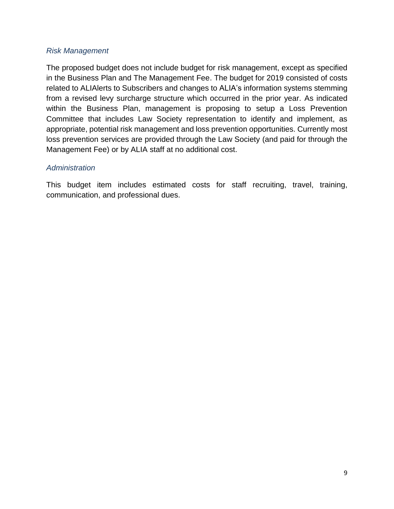# *Risk Management*

The proposed budget does not include budget for risk management, except as specified in the Business Plan and The Management Fee. The budget for 2019 consisted of costs related to ALIAlerts to Subscribers and changes to ALIA's information systems stemming from a revised levy surcharge structure which occurred in the prior year. As indicated within the Business Plan, management is proposing to setup a Loss Prevention Committee that includes Law Society representation to identify and implement, as appropriate, potential risk management and loss prevention opportunities. Currently most loss prevention services are provided through the Law Society (and paid for through the Management Fee) or by ALIA staff at no additional cost.

# *Administration*

This budget item includes estimated costs for staff recruiting, travel, training, communication, and professional dues.